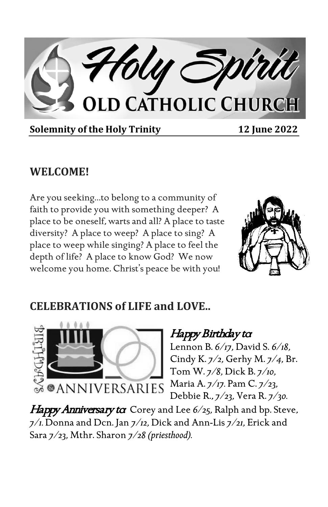

**Solemnity of the Holy Trinity 12 June 2022** 

### **WELCOME!**

Are you seeking…to belong to a community of faith to provide you with something deeper? A place to be oneself, warts and all? A place to taste diversity? A place to weep? A place to sing? A place to weep while singing? A place to feel the depth of life? A place to know God? We now welcome you home. Christ's peace be with you!



### **CELEBRATIONS of LIFE and LOVE..**



### Happy Birthday to

Lennon B. *6/17,* David S. *6/18,*  Cindy K. *7/2,* Gerhy M. *7/4,* Br. Tom W. *7/8,* Dick B. *7/10,*  Maria A. *7/17.* Pam C. *7/23,*  Debbie R., *7/23,* Vera R. *7/30.*

Happy Anniversary to Corey and Lee 6/25, Ralph and bp. Steve, *7/1.* Donna and Dcn. Jan *7/12,* Dick and Ann-Lis *7/21,* Erick and Sara *7/23,* Mthr. Sharon *7/28 (priesthood).*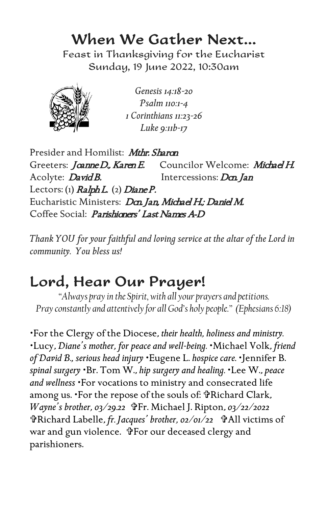## When We Gather Next…

Feast in Thanksgiving for the Eucharist Sunday, 19 June 2022, 10:30am



*Genesis 14:18-20 Psalm 110:1-4 1 Corinthians 11:23-26 Luke 9:11b-17*

Presider and Homilist: *Mthr. Sharon* Greeters: Joanne D., Karen E. Councilor Welcome: Michael H. Acolyte: *David B.* Intercessions: *Dcn. Jan* Lectors: (1)  $RalphL$ . (2) Diane P. Eucharistic Ministers: Dan Jan, Michael H.; Daniel M. Coffee Social: *Parishioners' Last Names A-D* 

*Thank YOU for your faithful and loving service at the altar of the Lord in community. You bless us!*

# Lord, Hear Our Prayer!

*"Always pray in the Spirit, with all your prayers and petitions. Pray constantly and attentively for all God's holy people." (Ephesians 6:18)*

For the Clergy of the Diocese, *their health, holiness and ministry.* Lucy, *Diane's mother, for peace and well-being.* Michael Volk, *friend of David B., serious head injury* Eugene L. *hospice care.* Jennifer B. *spinal surgery* Br. Tom W., *hip surgery and healing.* Lee W., *peace and wellness* For vocations to ministry and consecrated life among us. 'For the repose of the souls of: FRichard Clark, *Wayne's brother, 03/29.22* <sup>\$</sup>Fr. Michael J. Ripton, 03/22/2022 Richard Labelle, *fr. Jacques' brother, 02/01/22* All victims of war and gun violence. FFor our deceased clergy and parishioners.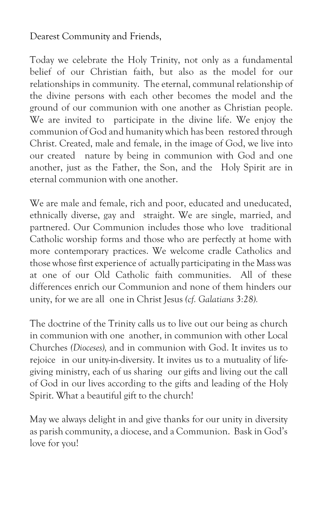Dearest Community and Friends,

Today we celebrate the Holy Trinity, not only as a fundamental belief of our Christian faith, but also as the model for our relationships in community. The eternal, communal relationship of the divine persons with each other becomes the model and the ground of our communion with one another as Christian people. We are invited to participate in the divine life. We enjoy the communion of God and humanity which has been restored through Christ. Created, male and female, in the image of God, we live into our created nature by being in communion with God and one another, just as the Father, the Son, and the Holy Spirit are in eternal communion with one another.

We are male and female, rich and poor, educated and uneducated, ethnically diverse, gay and straight. We are single, married, and partnered. Our Communion includes those who love traditional Catholic worship forms and those who are perfectly at home with more contemporary practices. We welcome cradle Catholics and those whose first experience of actually participating in the Mass was at one of our Old Catholic faith communities. All of these differences enrich our Communion and none of them hinders our unity, for we are all one in Christ Jesus *(cf. Galatians 3:28).*

The doctrine of the Trinity calls us to live out our being as church in communion with one another, in communion with other Local Churches *(Dioceses),* and in communion with God. It invites us to rejoice in our unity-in-diversity. It invites us to a mutuality of lifegiving ministry, each of us sharing our gifts and living out the call of God in our lives according to the gifts and leading of the Holy Spirit. What a beautiful gift to the church!

May we always delight in and give thanks for our unity in diversity as parish community, a diocese, and a Communion. Bask in God's love for you!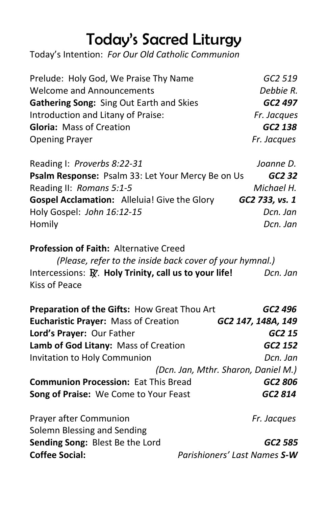# Today's Sacred Liturgy

Today's Intention: *For Our Old Catholic Communion*

| Prelude: Holy God, We Praise Thy Name    | GC2 519     |
|------------------------------------------|-------------|
| <b>Welcome and Announcements</b>         | Debbie R.   |
| Gathering Song: Sing Out Earth and Skies | GC2 497     |
| Introduction and Litany of Praise:       | Fr. Jacques |
| Gloria: Mass of Creation                 | GC2 138     |
| <b>Opening Prayer</b>                    | Fr. Jacques |

| Reading I: Proverbs 8:22-31                         | Joanne D.      |
|-----------------------------------------------------|----------------|
| Psalm Response: Psalm 33: Let Your Mercy Be on Us   | GC2 32         |
| Reading II: Romans 5:1-5                            | Michael H.     |
| <b>Gospel Acclamation:</b> Alleluia! Give the Glory | GC2 733, vs. 1 |
| Holy Gospel: John 16:12-15                          | Dcn. Jan       |
| Homily                                              | Dcn. Jan       |

#### **Profession of Faith:** Alternative Creed

 *(Please, refer to the inside back cover of your hymnal.)*  Intercessions: R. **Holy Trinity, call us to your life!** *Dcn. Jan* Kiss of Peace

| Preparation of the Gifts: How Great Thou Art          | GC2 496                             |
|-------------------------------------------------------|-------------------------------------|
| <b>Eucharistic Prayer: Mass of Creation</b>           | GC2 147, 148A, 149                  |
| Lord's Prayer: Our Father                             | GC2 15                              |
| Lamb of God Litany: Mass of Creation                  | GC2 152                             |
| Invitation to Holy Communion                          | Dcn. Jan                            |
|                                                       | (Dcn. Jan, Mthr. Sharon, Daniel M.) |
| <b>Communion Procession: Eat This Bread</b>           | GC2 806                             |
| Song of Praise: We Come to Your Feast                 | GC2 814                             |
| Prayer after Communion<br>Solemn Blessing and Sending | Fr. Jacques                         |

**Sending Song:** Blest Be the Lord *GC2 585* **Coffee Social:** *Parishioners' Last Names S-W*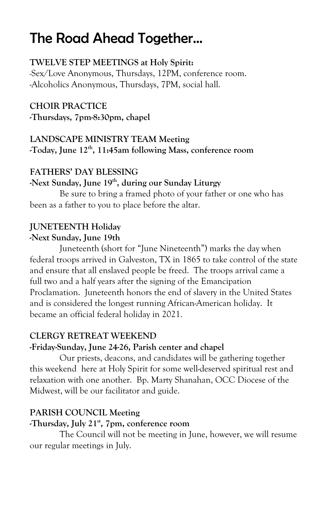## The Road Ahead Together…

#### **TWELVE STEP MEETINGS at Holy Spirit:**

-Sex/Love Anonymous, Thursdays, 12PM, conference room. -Alcoholics Anonymous, Thursdays, 7PM, social hall.

#### **CHOIR PRACTICE**

**-Thursdays, 7pm-8:30pm, chapel**

#### **LANDSCAPE MINISTRY TEAM Meeting -Today, June 12th, 11:45am following Mass, conference room**

#### **FATHERS' DAY BLESSING**

#### -Next Sunday, June 19<sup>th</sup>, during our Sunday Liturgy

Be sure to bring a framed photo of your father or one who has been as a father to you to place before the altar.

#### **JUNETEENTH Holiday**

#### **-Next Sunday, June 19th**

Juneteenth (short for "June Nineteenth") marks the day when federal troops arrived in Galveston, TX in 1865 to take control of the state and ensure that all enslaved people be freed. The troops arrival came a full two and a half years after the signing of the Emancipation Proclamation. Juneteenth honors the end of slavery in the United States and is considered the longest running African-American holiday. It became an official federal holiday in 2021.

#### **CLERGY RETREAT WEEKEND**

#### **-Friday-Sunday, June 24-26, Parish center and chapel**

Our priests, deacons, and candidates will be gathering together this weekend here at Holy Spirit for some well-deserved spiritual rest and relaxation with one another. Bp. Marty Shanahan, OCC Diocese of the Midwest, will be our facilitator and guide.

#### **PARISH COUNCIL Meeting**

#### **-Thursday, July 21st, 7pm, conference room**

The Council will not be meeting in June, however, we will resume our regular meetings in July.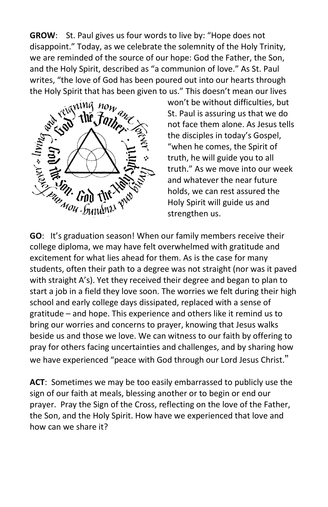**GROW**: St. Paul gives us four words to live by: "Hope does not disappoint." Today, as we celebrate the solemnity of the Holy Trinity, we are reminded of the source of our hope: God the Father, the Son, and the Holy Spirit, described as "a communion of love." As St. Paul writes, "the love of God has been poured out into our hearts through the Holy Spirit that has been given to us." This doesn't mean our lives



won't be without difficulties, but St. Paul is assuring us that we do not face them alone. As Jesus tells the disciples in today's Gospel, "when he comes, the Spirit of truth, he will guide you to all truth." As we move into our week and whatever the near future holds, we can rest assured the Holy Spirit will guide us and strengthen us.

college diploma, we may have felt overwhelmed with gratitude and excitement for what lies ahead for them. As is the case for many students, often their path to a degree was not straight (nor was it paved with straight A's). Yet they received their degree and began to plan to start a job in a field they love soon. The worries we felt during their high school and early college days dissipated, replaced with a sense of gratitude – and hope. This experience and others like it remind us to bring our worries and concerns to prayer, knowing that Jesus walks beside us and those we love. We can witness to our faith by offering to pray for others facing uncertainties and challenges, and by sharing how we have experienced "peace with God through our Lord Jesus Christ."

**ACT**: Sometimes we may be too easily embarrassed to publicly use the sign of our faith at meals, blessing another or to begin or end our prayer. Pray the Sign of the Cross, reflecting on the love of the Father, the Son, and the Holy Spirit. How have we experienced that love and how can we share it?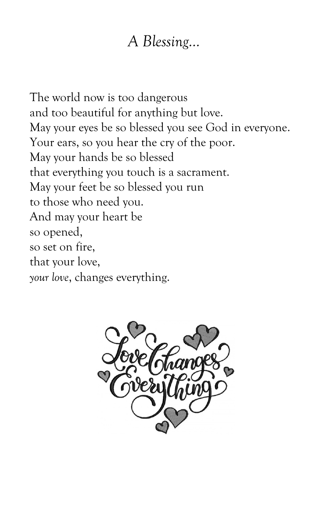## *A Blessing…*

The world now is too dangerous and too beautiful for anything but love. May your eyes be so blessed you see God in everyone. Your ears, so you hear the cry of the poor. May your hands be so blessed that everything you touch is a sacrament. May your feet be so blessed you run to those who need you. And may your heart be so opened, so set on fire, that your love, *your love*, changes everything.